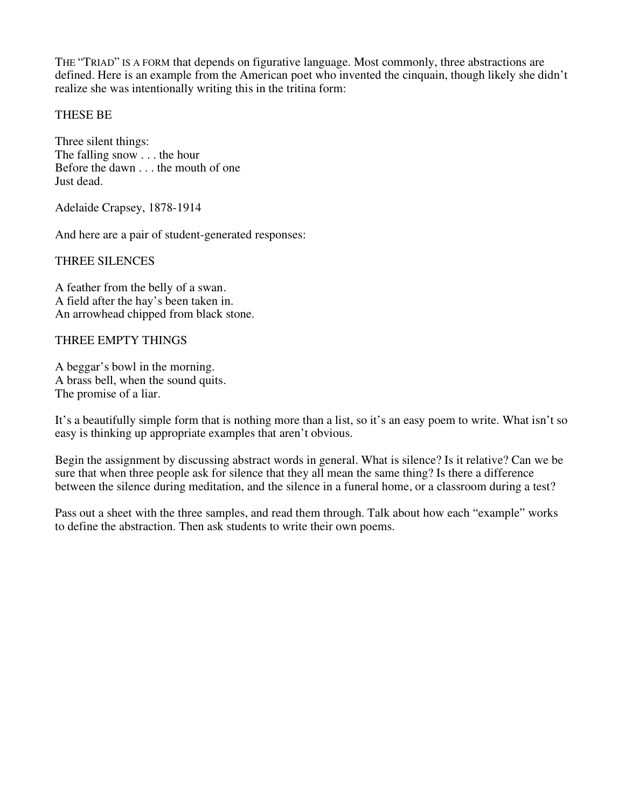THE "TRIAD" IS A FORM that depends on figurative language. Most commonly, three abstractions are defined. Here is an example from the American poet who invented the cinquain, though likely she didn't realize she was intentionally writing this in the tritina form:

### THESE BE

Three silent things: The falling snow . . . the hour Before the dawn . . . the mouth of one Just dead.

Adelaide Crapsey, 1878-1914

And here are a pair of student-generated responses:

#### THREE SILENCES

A feather from the belly of a swan. A field after the hay's been taken in. An arrowhead chipped from black stone.

#### THREE EMPTY THINGS

A beggar's bowl in the morning. A brass bell, when the sound quits. The promise of a liar.

It's a beautifully simple form that is nothing more than a list, so it's an easy poem to write. What isn't so easy is thinking up appropriate examples that aren't obvious.

Begin the assignment by discussing abstract words in general. What is silence? Is it relative? Can we be sure that when three people ask for silence that they all mean the same thing? Is there a difference between the silence during meditation, and the silence in a funeral home, or a classroom during a test?

Pass out a sheet with the three samples, and read them through. Talk about how each "example" works to define the abstraction. Then ask students to write their own poems.